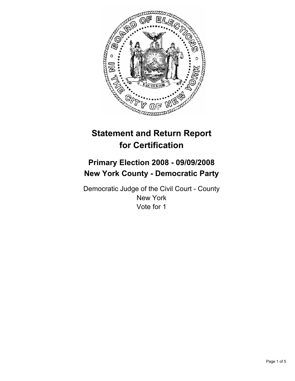

# **Statement and Return Report for Certification**

## **Primary Election 2008 - 09/09/2008 New York County - Democratic Party**

Democratic Judge of the Civil Court - County New York Vote for 1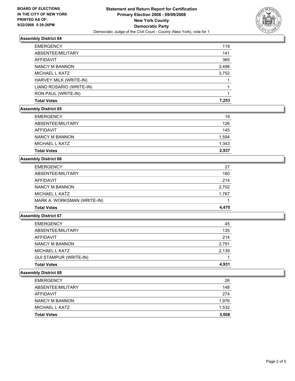

## **Assembly District 64**

| <b>EMERGENCY</b>         | 119   |
|--------------------------|-------|
| ABSENTEE/MILITARY        | 141   |
| AFFIDAVIT                | 365   |
| NANCY M BANNON           | 3,498 |
| <b>MICHAEL L KATZ</b>    | 3,752 |
| HARVEY MILK (WRITE-IN)   |       |
| LIAND ROSARIO (WRITE-IN) |       |
| RON PAUL (WRITE-IN)      |       |
| <b>Total Votes</b>       | 7,253 |

## **Assembly District 65**

| <b>EMERGENCY</b>   | 19    |
|--------------------|-------|
| ABSENTEE/MILITARY  | 126   |
| AFFIDAVIT          | 145   |
| NANCY M BANNON     | 1,594 |
| MICHAEL L KATZ     | 1,343 |
| <b>Total Votes</b> | 2,937 |

#### **Assembly District 66**

| <b>Total Votes</b>          | 4.470 |
|-----------------------------|-------|
| MARK A. WORKSMAN (WRITE-IN) |       |
| MICHAEL L KATZ              | 1,767 |
| <b>NANCY M BANNON</b>       | 2,702 |
| AFFIDAVIT                   | 214   |
| ABSENTEE/MILITARY           | 160   |
| <b>EMERGENCY</b>            | 27    |

## **Assembly District 67**

| <b>Total Votes</b>            | 4.931 |
|-------------------------------|-------|
| <b>GUI STAMPUR (WRITE-IN)</b> |       |
| MICHAEL L KATZ                | 2,139 |
| NANCY M BANNON                | 2,791 |
| AFFIDAVIT                     | 214   |
| ABSENTEE/MILITARY             | 135   |
| <b>EMERGENCY</b>              | 45    |

#### **Assembly District 68**

| <b>Total Votes</b> | 3,508 |
|--------------------|-------|
| MICHAEL L KATZ     | 1,532 |
| NANCY M BANNON     | 1,976 |
| AFFIDAVIT          | 274   |
| ABSENTEE/MILITARY  | 148   |
| <b>EMERGENCY</b>   | 26    |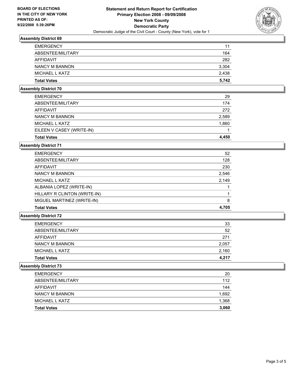

## **Assembly District 69**

| <b>EMERGENCY</b>   | 11    |
|--------------------|-------|
| ABSENTEE/MILITARY  | 164   |
| <b>AFFIDAVIT</b>   | 282   |
| NANCY M BANNON     | 3,304 |
| MICHAEL L KATZ     | 2,438 |
| <b>Total Votes</b> | 5,742 |

## **Assembly District 70**

| <b>Total Votes</b>        | 4.450 |
|---------------------------|-------|
| EILEEN V CASEY (WRITE-IN) |       |
| MICHAEL L KATZ            | 1,860 |
| NANCY M BANNON            | 2,589 |
| AFFIDAVIT                 | 272   |
| ABSENTEE/MILITARY         | 174   |
| <b>EMERGENCY</b>          | 29    |

#### **Assembly District 71**

| <b>EMERGENCY</b>             | 52    |
|------------------------------|-------|
| ABSENTEE/MILITARY            | 128   |
| AFFIDAVIT                    | 230   |
| NANCY M BANNON               | 2,546 |
| MICHAEL L KATZ               | 2,149 |
| ALBANIA LOPEZ (WRITE-IN)     |       |
| HILLARY R CLINTON (WRITE-IN) |       |
| MIGUEL MARTINEZ (WRITE-IN)   | 8     |
| <b>Total Votes</b>           | 4,705 |

#### **Assembly District 72**

| <b>Total Votes</b> | 4,217 |
|--------------------|-------|
|                    |       |
| MICHAEL L KATZ     | 2,160 |
| NANCY M BANNON     | 2,057 |
| AFFIDAVIT          | 271   |
| ABSENTEE/MILITARY  | 52    |
| <b>EMERGENCY</b>   | 33    |

## **Assembly District 73**

| <b>Total Votes</b> | 3,060 |
|--------------------|-------|
| MICHAEL L KATZ     | 1,368 |
| NANCY M BANNON     | 1,692 |
| AFFIDAVIT          | 144   |
| ABSENTEE/MILITARY  | 112   |
| <b>EMERGENCY</b>   | 20    |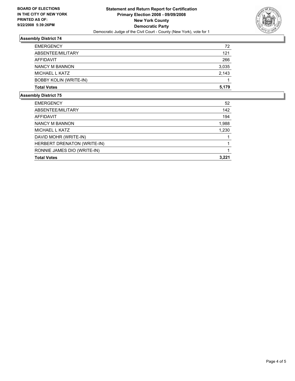

## **Assembly District 74**

| 72    |
|-------|
| 121   |
| 266   |
| 3,035 |
| 2,143 |
|       |
| 5,179 |
|       |

#### **Assembly District 75**

| <b>EMERGENCY</b>            | 52    |
|-----------------------------|-------|
| ABSENTEE/MILITARY           | 142   |
| AFFIDAVIT                   | 194   |
| NANCY M BANNON              | 1,988 |
| MICHAEL L KATZ              | 1,230 |
| DAVID MOHR (WRITE-IN)       |       |
| HERBERT DRENATON (WRITE-IN) |       |
| RONNIE JAMES DIO (WRITE-IN) |       |
| <b>Total Votes</b>          | 3,221 |